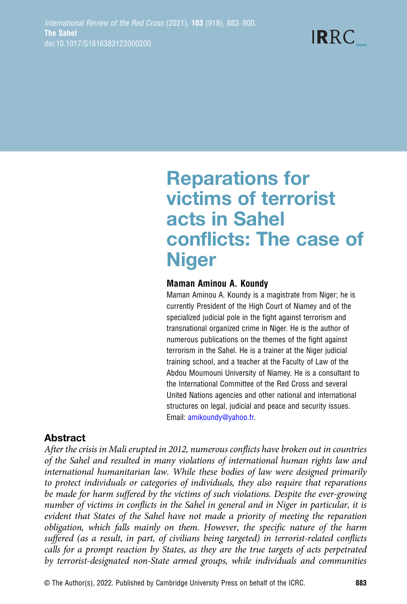# Reparations for victims of terrorist acts in Sahel conflicts: The case of **Niger**

#### Maman Aminou A. Koundy

Maman Aminou A. Koundy is a magistrate from Niger; he is currently President of the High Court of Niamey and of the specialized judicial pole in the fight against terrorism and transnational organized crime in Niger. He is the author of numerous publications on the themes of the fight against terrorism in the Sahel. He is a trainer at the Niger judicial training school, and a teacher at the Faculty of Law of the Abdou Moumouni University of Niamey. He is a consultant to the International Committee of the Red Cross and several United Nations agencies and other national and international structures on legal, judicial and peace and security issues. Email: [amikoundy@yahoo.fr.](mailto:amikoundy@yahoo.fr)

## Abstract

After the crisis in Mali erupted in 2012, numerous conflicts have broken out in countries of the Sahel and resulted in many violations of international human rights law and international humanitarian law. While these bodies of law were designed primarily to protect individuals or categories of individuals, they also require that reparations be made for harm suffered by the victims of such violations. Despite the ever-growing number of victims in conflicts in the Sahel in general and in Niger in particular, it is evident that States of the Sahel have not made a priority of meeting the reparation obligation, which falls mainly on them. However, the specific nature of the harm suffered (as a result, in part, of civilians being targeted) in terrorist-related conflicts calls for a prompt reaction by States, as they are the true targets of acts perpetrated by terrorist-designated non-State armed groups, while individuals and communities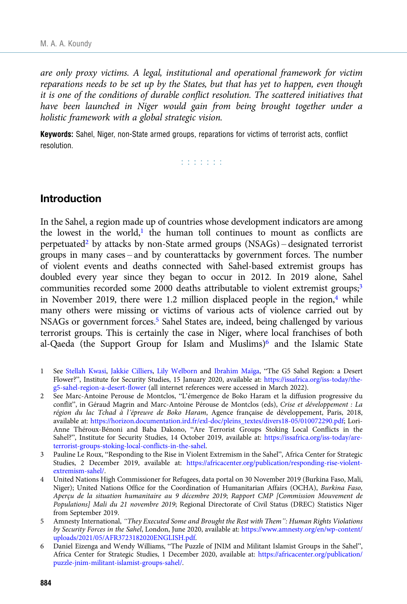are only proxy victims. A legal, institutional and operational framework for victim reparations needs to be set up by the States, but that has yet to happen, even though it is one of the conditions of durable conflict resolution. The scattered initiatives that have been launched in Niger would gain from being brought together under a holistic framework with a global strategic vision.

Keywords: Sahel, Niger, non-State armed groups, reparations for victims of terrorist acts, conflict resolution.

a a a a a a a

#### Introduction

In the Sahel, a region made up of countries whose development indicators are among the lowest in the world, $1$  the human toll continues to mount as conflicts are perpetuated<sup>2</sup> by attacks by non-State armed groups  $(NSAGs)$  – designated terrorist groups in many cases – and by counterattacks by government forces. The number of violent events and deaths connected with Sahel-based extremist groups has doubled every year since they began to occur in 2012. In 2019 alone, Sahel communities recorded some 2000 deaths attributable to violent extremist groups;<sup>3</sup> in November 2019, there were 1.2 million displaced people in the region, $4$  while many others were missing or victims of various acts of violence carried out by NSAGs or government forces.<sup>5</sup> Sahel States are, indeed, being challenged by various terrorist groups. This is certainly the case in Niger, where local franchises of both al-Qaeda (the Support Group for Islam and Muslims)<sup>6</sup> and the Islamic State

- 1 See [Stellah Kwasi,](https://issafrica.org/fr/auteur/stellah-kwasi) [Jakkie Cilliers,](https://issafrica.org/fr/auteur/jakkie-cilliers) [Lily Welborn](https://issafrica.org/fr/auteur/lily-welborn) and [Ibrahim Maïga](https://issafrica.org/fr/auteur/ibrahim-maiga), "The G5 Sahel Region: a Desert Flower?", Institute for Security Studies, 15 January 2020, available at: [https://issafrica.org/iss-today/the](https://issafrica.org/iss-today/the-g5-sahel-region-a-desert-flower)[g5-sahel-region-a-desert-flower](https://issafrica.org/iss-today/the-g5-sahel-region-a-desert-flower) (all internet references were accessed in March 2022).
- 2 See Marc-Antoine Perouse de Montclos, "L'émergence de Boko Haram et la diffusion progressive du conflit", in Géraud Magrin and Marc-Antoine Pérouse de Montclos (eds), Crise et développement : La région du lac Tchad à l'épreuve de Boko Haram, Agence française de développement, Paris, 2018, available at: [https://horizon.documentation.ird.fr/exl-doc/pleins\\_textes/divers18-05/010072290.pdf](https://horizon.documentation.ird.fr/exl-doc/pleins_textes/divers18-05/010072290.pdf); Lori-Anne Théroux-Bénoni and Baba Dakono, "Are Terrorist Groups Stoking Local Conflicts in the Sahel?", Institute for Security Studies, 14 October 2019, available at: [https://issafrica.org/iss-today/are](https://issafrica.org/iss-today/are-terrorist-groups-stoking-local-conflicts-in-the-sahel)[terrorist-groups-stoking-local-conflicts-in-the-sahel.](https://issafrica.org/iss-today/are-terrorist-groups-stoking-local-conflicts-in-the-sahel)
- 3 Pauline Le Roux, "Responding to the Rise in Violent Extremism in the Sahel", Africa Center for Strategic Studies, 2 December 2019, available at: [https://africacenter.org/publication/responding-rise-violent](https://africacenter.org/publication/responding-rise-violent-extremism-sahel/)[extremism-sahel/](https://africacenter.org/publication/responding-rise-violent-extremism-sahel/).
- 4 United Nations High Commissioner for Refugees, data portal on 30 November 2019 (Burkina Faso, Mali, Niger); United Nations Office for the Coordination of Humanitarian Affairs (OCHA), Burkina Faso, Aperçu de la situation humanitaire au 9 décembre 2019; Rapport CMP [Commission Mouvement de Populations] Mali du 21 novembre 2019; Regional Directorate of Civil Status (DREC) Statistics Niger from September 2019.
- 5 Amnesty International, "They Executed Some and Brought the Rest with Them": Human Rights Violations by Security Forces in the Sahel, London, June 2020, available at: [https://www.amnesty.org/en/wp-content/](https://www.amnesty.org/en/wp-content/uploads/2021/05/AFR3723182020ENGLISH.pdf) [uploads/2021/05/AFR3723182020ENGLISH.pdf.](https://www.amnesty.org/en/wp-content/uploads/2021/05/AFR3723182020ENGLISH.pdf)
- 6 Daniel Eizenga and Wendy Williams, "The Puzzle of JNIM and Militant Islamist Groups in the Sahel", Africa Center for Strategic Studies, 1 December 2020, available at: [https://africacenter.org/publication/](https://africacenter.org/publication/puzzle-jnim-militant-islamist-groups-sahel/) [puzzle-jnim-militant-islamist-groups-sahel/.](https://africacenter.org/publication/puzzle-jnim-militant-islamist-groups-sahel/)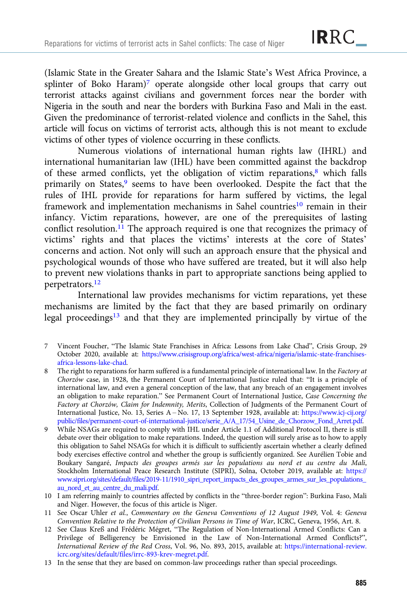(Islamic State in the Greater Sahara and the Islamic State's West Africa Province, a splinter of Boko Haram)<sup>7</sup> operate alongside other local groups that carry out terrorist attacks against civilians and government forces near the border with Nigeria in the south and near the borders with Burkina Faso and Mali in the east. Given the predominance of terrorist-related violence and conflicts in the Sahel, this article will focus on victims of terrorist acts, although this is not meant to exclude victims of other types of violence occurring in these conflicts.

Numerous violations of international human rights law (IHRL) and international humanitarian law (IHL) have been committed against the backdrop of these armed conflicts, yet the obligation of victim reparations, $\frac{8}{3}$  which falls primarily on States,<sup>9</sup> seems to have been overlooked. Despite the fact that the rules of IHL provide for reparations for harm suffered by victims, the legal framework and implementation mechanisms in Sahel countries<sup>10</sup> remain in their infancy. Victim reparations, however, are one of the prerequisites of lasting conflict resolution.<sup>11</sup> The approach required is one that recognizes the primacy of victims' rights and that places the victims' interests at the core of States' concerns and action. Not only will such an approach ensure that the physical and psychological wounds of those who have suffered are treated, but it will also help to prevent new violations thanks in part to appropriate sanctions being applied to perpetrators.12

International law provides mechanisms for victim reparations, yet these mechanisms are limited by the fact that they are based primarily on ordinary legal proceedings<sup>13</sup> and that they are implemented principally by virtue of the

- 7 Vincent Foucher, "The Islamic State Franchises in Africa: Lessons from Lake Chad", Crisis Group, 29 October 2020, available at: [https://www.crisisgroup.org/africa/west-africa/nigeria/islamic-state-franchises](https://www.crisisgroup.org/africa/west-africa/nigeria/islamic-state-franchises-africa-lessons-lake-chad)[africa-lessons-lake-chad](https://www.crisisgroup.org/africa/west-africa/nigeria/islamic-state-franchises-africa-lessons-lake-chad).
- 8 The right to reparations for harm suffered is a fundamental principle of international law. In the Factory at Chorzów case, in 1928, the Permanent Court of International Justice ruled that: "It is a principle of international law, and even a general conception of the law, that any breach of an engagement involves an obligation to make reparation." See Permanent Court of International Justice, Case Concerning the Factory at Chorzów, Claim for Indemnity, Merits, Collection of Judgments of the Permanent Court of International Justice, No. 13, Series A – No. 17, 13 September 1928, available at: [https://www.icj-cij.org/](https://www.icj-cij.org/public/files/permanent-court-of-international-justice/serie_A/A_17/54_Usine_de_Chorzow_Fond_Arret.pdf) [public/files/permanent-court-of-international-justice/serie\\_A/A\\_17/54\\_Usine\\_de\\_Chorzow\\_Fond\\_Arret.pdf](https://www.icj-cij.org/public/files/permanent-court-of-international-justice/serie_A/A_17/54_Usine_de_Chorzow_Fond_Arret.pdf).
- 9 While NSAGs are required to comply with IHL under Article 1.1 of Additional Protocol II, there is still debate over their obligation to make reparations. Indeed, the question will surely arise as to how to apply this obligation to Sahel NSAGs for which it is difficult to sufficiently ascertain whether a clearly defined body exercises effective control and whether the group is sufficiently organized. See Aurélien Tobie and Boukary Sangaré, Impacts des groupes armés sur les populations au nord et au centre du Mali, Stockholm International Peace Research Institute (SIPRI), Solna, October 2019, available at: [https://](https://www.sipri.org/sites/default/files/2019-11/1910_sipri_report_impacts_des_groupes_armes_sur_les_populations_au_nord_et_au_centre_du_mali.pdf) [www.sipri.org/sites/default/files/2019-11/1910\\_sipri\\_report\\_impacts\\_des\\_groupes\\_armes\\_sur\\_les\\_populations\\_](https://www.sipri.org/sites/default/files/2019-11/1910_sipri_report_impacts_des_groupes_armes_sur_les_populations_au_nord_et_au_centre_du_mali.pdf) [au\\_nord\\_et\\_au\\_centre\\_du\\_mali.pdf.](https://www.sipri.org/sites/default/files/2019-11/1910_sipri_report_impacts_des_groupes_armes_sur_les_populations_au_nord_et_au_centre_du_mali.pdf)
- 10 I am referring mainly to countries affected by conflicts in the "three-border region": Burkina Faso, Mali and Niger. However, the focus of this article is Niger.
- 11 See Oscar Uhler et al., Commentary on the Geneva Conventions of 12 August 1949, Vol. 4: Geneva Convention Relative to the Protection of Civilian Persons in Time of War, ICRC, Geneva, 1956, Art. 8.
- 12 See Claus Kreß and Frédéric Mégret, "The Regulation of Non-International Armed Conflicts: Can a Privilege of Belligerency be Envisioned in the Law of Non-International Armed Conflicts?", International Review of the Red Cross, Vol. 96, No. 893, 2015, available at: [https://international-review.](https://international-review.icrc.org/sites/default/files/irrc-893-krev-megret.pdf) [icrc.org/sites/default/files/irrc-893-krev-megret.pdf.](https://international-review.icrc.org/sites/default/files/irrc-893-krev-megret.pdf)
- 13 In the sense that they are based on common-law proceedings rather than special proceedings.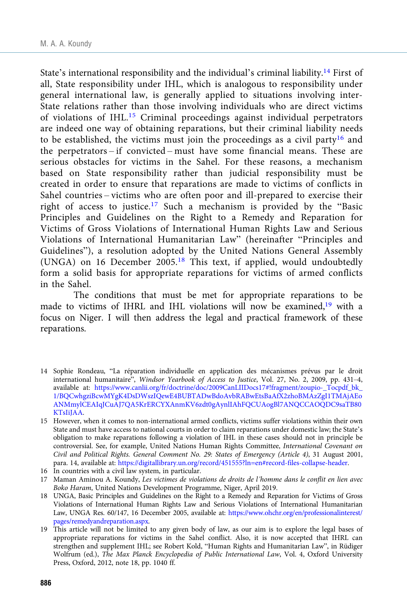State's international responsibility and the individual's criminal liability.14 First of all, State responsibility under IHL, which is analogous to responsibility under general international law, is generally applied to situations involving inter-State relations rather than those involving individuals who are direct victims of violations of IHL.<sup>15</sup> Criminal proceedings against individual perpetrators are indeed one way of obtaining reparations, but their criminal liability needs to be established, the victims must join the proceedings as a civil party<sup>16</sup> and the perpetrators – if convicted – must have some financial means. These are serious obstacles for victims in the Sahel. For these reasons, a mechanism based on State responsibility rather than judicial responsibility must be created in order to ensure that reparations are made to victims of conflicts in Sahel countries – victims who are often poor and ill-prepared to exercise their right of access to justice.<sup>17</sup> Such a mechanism is provided by the "Basic Principles and Guidelines on the Right to a Remedy and Reparation for Victims of Gross Violations of International Human Rights Law and Serious Violations of International Humanitarian Law" (hereinafter "Principles and Guidelines"), a resolution adopted by the United Nations General Assembly (UNGA) on 16 December 2005.<sup>18</sup> This text, if applied, would undoubtedly form a solid basis for appropriate reparations for victims of armed conflicts in the Sahel.

The conditions that must be met for appropriate reparations to be made to victims of IHRL and IHL violations will now be examined,19 with a focus on Niger. I will then address the legal and practical framework of these reparations.

- 14 Sophie Rondeau, "La réparation individuelle en application des mécanismes prévus par le droit international humanitaire", Windsor Yearbook of Access to Justice, Vol. 27, No. 2, 2009, pp. 431–4, available at: [https://www.canlii.org/fr/doctrine/doc/2009CanLIIDocs17#!fragment/zoupio-\\_Tocpdf\\_bk\\_](https://www.canlii.org/fr/doctrine/doc/2009CanLIIDocs17%23!fragment/zoupio-_Tocpdf_bk_1/BQCwhgziBcwMYgK4DsDWszIQewE4BUBTADwBdoAvbRABwEtsBaAfX2zhoBMAzZgI1TMAjAEoANMmylCEAIqJCuAJ7QA5KrERCYXAnmKV6zdt0gAynlIAhFQCUAogBl7ANQCCAOQDC9saTB80KTsIiJAA) [1/BQCwhgziBcwMYgK4DsDWszIQewE4BUBTADwBdoAvbRABwEtsBaAfX2zhoBMAzZgI1TMAjAEo](https://www.canlii.org/fr/doctrine/doc/2009CanLIIDocs17%23!fragment/zoupio-_Tocpdf_bk_1/BQCwhgziBcwMYgK4DsDWszIQewE4BUBTADwBdoAvbRABwEtsBaAfX2zhoBMAzZgI1TMAjAEoANMmylCEAIqJCuAJ7QA5KrERCYXAnmKV6zdt0gAynlIAhFQCUAogBl7ANQCCAOQDC9saTB80KTsIiJAA) [ANMmylCEAIqJCuAJ7QA5KrERCYXAnmKV6zdt0gAynlIAhFQCUAogBl7ANQCCAOQDC9saTB80](https://www.canlii.org/fr/doctrine/doc/2009CanLIIDocs17%23!fragment/zoupio-_Tocpdf_bk_1/BQCwhgziBcwMYgK4DsDWszIQewE4BUBTADwBdoAvbRABwEtsBaAfX2zhoBMAzZgI1TMAjAEoANMmylCEAIqJCuAJ7QA5KrERCYXAnmKV6zdt0gAynlIAhFQCUAogBl7ANQCCAOQDC9saTB80KTsIiJAA) [KTsIiJAA](https://www.canlii.org/fr/doctrine/doc/2009CanLIIDocs17%23!fragment/zoupio-_Tocpdf_bk_1/BQCwhgziBcwMYgK4DsDWszIQewE4BUBTADwBdoAvbRABwEtsBaAfX2zhoBMAzZgI1TMAjAEoANMmylCEAIqJCuAJ7QA5KrERCYXAnmKV6zdt0gAynlIAhFQCUAogBl7ANQCCAOQDC9saTB80KTsIiJAA).
- 15 However, when it comes to non-international armed conflicts, victims suffer violations within their own State and must have access to national courts in order to claim reparations under domestic law; the State's obligation to make reparations following a violation of IHL in these cases should not in principle be controversial. See, for example, United Nations Human Rights Committee, International Covenant on Civil and Political Rights. General Comment No. 29: States of Emergency (Article 4), 31 August 2001, para. 14, available at: [https://digitallibrary.un.org/record/451555?ln=en#record-files-collapse-header](https://digitallibrary.un.org/record/451555?ln=en%23record-files-collapse-header).
- 16 In countries with a civil law system, in particular.
- 17 Maman Aminou A. Koundy, Les victimes de violations de droits de l'homme dans le conflit en lien avec Boko Haram, United Nations Development Programme, Niger, April 2019.
- 18 UNGA, Basic Principles and Guidelines on the Right to a Remedy and Reparation for Victims of Gross Violations of International Human Rights Law and Serious Violations of International Humanitarian Law, UNGA Res. 60/147, 16 December 2005, available at: [https://www.ohchr.org/en/professionalinterest/](https://www.ohchr.org/en/professionalinterest/pages/remedyandreparation.aspx) [pages/remedyandreparation.aspx](https://www.ohchr.org/en/professionalinterest/pages/remedyandreparation.aspx).
- 19 This article will not be limited to any given body of law, as our aim is to explore the legal bases of appropriate reparations for victims in the Sahel conflict. Also, it is now accepted that IHRL can strengthen and supplement IHL; see Robert Kold, "Human Rights and Humanitarian Law", in Rüdiger Wolfrum (ed.), The Max Planck Encyclopedia of Public International Law, Vol. 4, Oxford University Press, Oxford, 2012, note 18, pp. 1040 ff.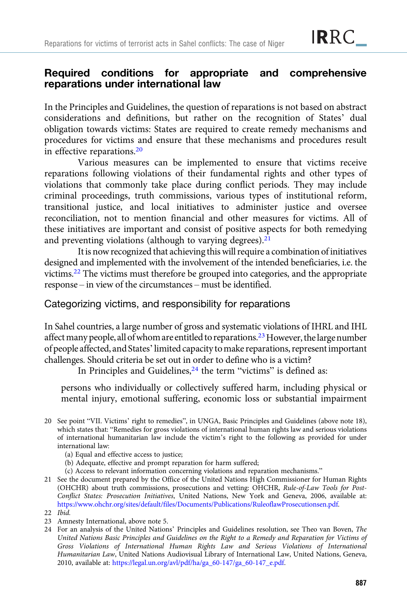### Required conditions for appropriate and comprehensive reparations under international law

In the Principles and Guidelines, the question of reparations is not based on abstract considerations and definitions, but rather on the recognition of States' dual obligation towards victims: States are required to create remedy mechanisms and procedures for victims and ensure that these mechanisms and procedures result in effective reparations.<sup>20</sup>

Various measures can be implemented to ensure that victims receive reparations following violations of their fundamental rights and other types of violations that commonly take place during conflict periods. They may include criminal proceedings, truth commissions, various types of institutional reform, transitional justice, and local initiatives to administer justice and oversee reconciliation, not to mention financial and other measures for victims. All of these initiatives are important and consist of positive aspects for both remedying and preventing violations (although to varying degrees). $21$ 

It is now recognized that achieving this will require a combination of initiatives designed and implemented with the involvement of the intended beneficiaries, i.e. the victims.22 The victims must therefore be grouped into categories, and the appropriate response – in view of the circumstances – must be identified.

#### Categorizing victims, and responsibility for reparations

In Sahel countries, a large number of gross and systematic violations of IHRL and IHL affect many people, all of whom are entitled to reparations.<sup>23</sup> However, the large number of people affected, and States'limited capacity tomake reparations, represent important challenges. Should criteria be set out in order to define who is a victim?

In Principles and Guidelines, $24$  the term "victims" is defined as:

persons who individually or collectively suffered harm, including physical or mental injury, emotional suffering, economic loss or substantial impairment

- (a) Equal and effective access to justice;
- (b) Adequate, effective and prompt reparation for harm suffered;
- (c) Access to relevant information concerning violations and reparation mechanisms."
- 21 See the document prepared by the Office of the United Nations High Commissioner for Human Rights (OHCHR) about truth commissions, prosecutions and vetting: OHCHR, Rule-of-Law Tools for Post-Conflict States: Prosecution Initiatives, United Nations, New York and Geneva, 2006, available at: [https://www.ohchr.org/sites/default/files/Documents/Publications/RuleoflawProsecutionsen.pdf.](https://www.ohchr.org/sites/default/files/Documents/Publications/RuleoflawProsecutionsen.pdf)

- 23 Amnesty International, above note 5.
- 24 For an analysis of the United Nations' Principles and Guidelines resolution, see Theo van Boven, The United Nations Basic Principles and Guidelines on the Right to a Remedy and Reparation for Victims of Gross Violations of International Human Rights Law and Serious Violations of International Humanitarian Law, United Nations Audiovisual Library of International Law, United Nations, Geneva, 2010, available at: [https://legal.un.org/avl/pdf/ha/ga\\_60-147/ga\\_60-147\\_e.pdf.](https://legal.un.org/avl/pdf/ha/ga_60-147/ga_60-147_e.pdf)

<sup>20</sup> See point "VII. Victims' right to remedies", in UNGA, Basic Principles and Guidelines (above note 18), which states that: "Remedies for gross violations of international human rights law and serious violations of international humanitarian law include the victim's right to the following as provided for under international law:

<sup>22</sup> Ibid.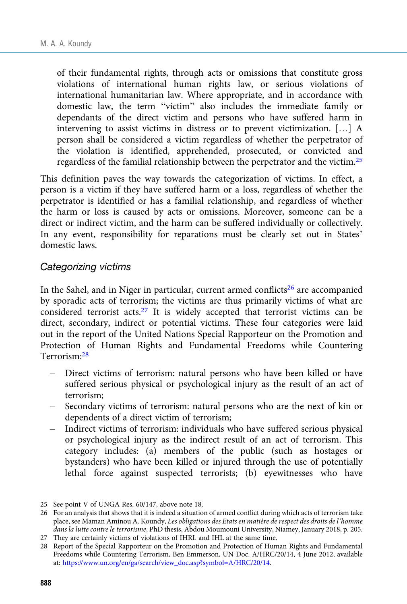of their fundamental rights, through acts or omissions that constitute gross violations of international human rights law, or serious violations of international humanitarian law. Where appropriate, and in accordance with domestic law, the term "victim" also includes the immediate family or dependants of the direct victim and persons who have suffered harm in intervening to assist victims in distress or to prevent victimization. […] A person shall be considered a victim regardless of whether the perpetrator of the violation is identified, apprehended, prosecuted, or convicted and regardless of the familial relationship between the perpetrator and the victim.25

This definition paves the way towards the categorization of victims. In effect, a person is a victim if they have suffered harm or a loss, regardless of whether the perpetrator is identified or has a familial relationship, and regardless of whether the harm or loss is caused by acts or omissions. Moreover, someone can be a direct or indirect victim, and the harm can be suffered individually or collectively. In any event, responsibility for reparations must be clearly set out in States' domestic laws.

#### Categorizing victims

In the Sahel, and in Niger in particular, current armed conflicts<sup>26</sup> are accompanied by sporadic acts of terrorism; the victims are thus primarily victims of what are considered terrorist acts.27 It is widely accepted that terrorist victims can be direct, secondary, indirect or potential victims. These four categories were laid out in the report of the United Nations Special Rapporteur on the Promotion and Protection of Human Rights and Fundamental Freedoms while Countering Terrorism:<sup>28</sup>

- Direct victims of terrorism: natural persons who have been killed or have suffered serious physical or psychological injury as the result of an act of terrorism;
- Secondary victims of terrorism: natural persons who are the next of kin or dependents of a direct victim of terrorism;
- Indirect victims of terrorism: individuals who have suffered serious physical or psychological injury as the indirect result of an act of terrorism. This category includes: (a) members of the public (such as hostages or bystanders) who have been killed or injured through the use of potentially lethal force against suspected terrorists; (b) eyewitnesses who have

<sup>25</sup> See point V of UNGA Res. 60/147, above note 18.

<sup>26</sup> For an analysis that shows that it is indeed a situation of armed conflict during which acts of terrorism take place, see Maman Aminou A. Koundy, Les obligations des Etats en matière de respect des droits de l'homme dans la lutte contre le terrorisme, PhD thesis, Abdou Moumouni University, Niamey, January 2018, p. 205.

<sup>27</sup> They are certainly victims of violations of IHRL and IHL at the same time.

<sup>28</sup> Report of the Special Rapporteur on the Promotion and Protection of Human Rights and Fundamental Freedoms while Countering Terrorism, Ben Emmerson, UN Doc. A/HRC/20/14, 4 June 2012, available at: [https://www.un.org/en/ga/search/view\\_doc.asp?symbol=A/HRC/20/14](https://www.un.org/en/ga/search/view_doc.asp?symbol=A/HRC/20/14).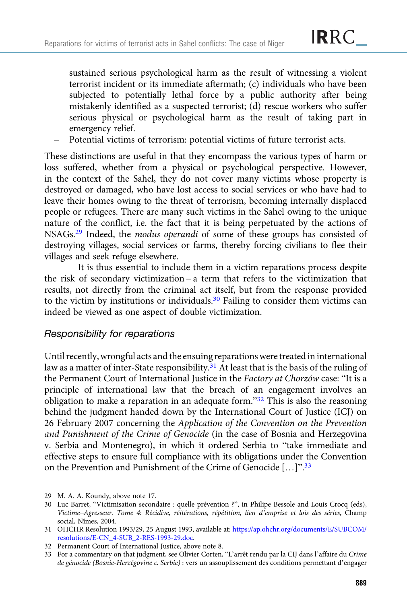sustained serious psychological harm as the result of witnessing a violent terrorist incident or its immediate aftermath; (c) individuals who have been subjected to potentially lethal force by a public authority after being mistakenly identified as a suspected terrorist; (d) rescue workers who suffer serious physical or psychological harm as the result of taking part in emergency relief.

– Potential victims of terrorism: potential victims of future terrorist acts.

These distinctions are useful in that they encompass the various types of harm or loss suffered, whether from a physical or psychological perspective. However, in the context of the Sahel, they do not cover many victims whose property is destroyed or damaged, who have lost access to social services or who have had to leave their homes owing to the threat of terrorism, becoming internally displaced people or refugees. There are many such victims in the Sahel owing to the unique nature of the conflict, i.e. the fact that it is being perpetuated by the actions of NSAGs.29 Indeed, the modus operandi of some of these groups has consisted of destroying villages, social services or farms, thereby forcing civilians to flee their villages and seek refuge elsewhere.

It is thus essential to include them in a victim reparations process despite the risk of secondary victimization – a term that refers to the victimization that results, not directly from the criminal act itself, but from the response provided to the victim by institutions or individuals.<sup>30</sup> Failing to consider them victims can indeed be viewed as one aspect of double victimization.

# $\mathcal{L}_{\mathcal{F}}$  for reparations for  $\mathcal{F}$

Until recently, wrongful acts and the ensuing reparations were treated in international law as a matter of inter-State responsibility.<sup>31</sup> At least that is the basis of the ruling of the Permanent Court of International Justice in the Factory at Chorzów case: "It is a principle of international law that the breach of an engagement involves an obligation to make a reparation in an adequate form."<sup>32</sup> This is also the reasoning behind the judgment handed down by the International Court of Justice (ICJ) on 26 February 2007 concerning the Application of the Convention on the Prevention and Punishment of the Crime of Genocide (in the case of Bosnia and Herzegovina v. Serbia and Montenegro), in which it ordered Serbia to "take immediate and effective steps to ensure full compliance with its obligations under the Convention on the Prevention and Punishment of the Crime of Genocide [...]".<sup>33</sup>

- 29 M. A. A. Koundy, above note 17.
- 30 Luc Barret, "Victimisation secondaire : quelle prévention ?", in Philipe Bessole and Louis Crocq (eds), Victime–Agresseur. Tome 4: Récidive, réitérations, répétition, lien d'emprise et lois des séries, Champ social, Nîmes, 2004.

<sup>31</sup> OHCHR Resolution 1993/29, 25 August 1993, available at: [https://ap.ohchr.org/documents/E/SUBCOM/](https://ap.ohchr.org/documents/E/SUBCOM/resolutions/E-CN_4-SUB_2-RES-1993-29.doc) [resolutions/E-CN\\_4-SUB\\_2-RES-1993-29.doc](https://ap.ohchr.org/documents/E/SUBCOM/resolutions/E-CN_4-SUB_2-RES-1993-29.doc).

<sup>32</sup> Permanent Court of International Justice, above note 8.

<sup>33</sup> For a commentary on that judgment, see Olivier Corten, "L'arrêt rendu par la CIJ dans l'affaire du Crime de génocide (Bosnie-Herzégovine c. Serbie) : vers un assouplissement des conditions permettant d'engager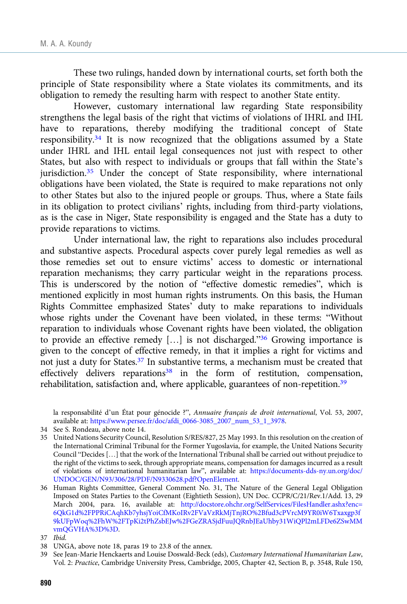These two rulings, handed down by international courts, set forth both the principle of State responsibility where a State violates its commitments, and its obligation to remedy the resulting harm with respect to another State entity.

However, customary international law regarding State responsibility strengthens the legal basis of the right that victims of violations of IHRL and IHL have to reparations, thereby modifying the traditional concept of State responsibility.34 It is now recognized that the obligations assumed by a State under IHRL and IHL entail legal consequences not just with respect to other States, but also with respect to individuals or groups that fall within the State's jurisdiction.<sup>35</sup> Under the concept of State responsibility, where international obligations have been violated, the State is required to make reparations not only to other States but also to the injured people or groups. Thus, where a State fails in its obligation to protect civilians' rights, including from third-party violations, as is the case in Niger, State responsibility is engaged and the State has a duty to provide reparations to victims.

Under international law, the right to reparations also includes procedural and substantive aspects. Procedural aspects cover purely legal remedies as well as those remedies set out to ensure victims' access to domestic or international reparation mechanisms; they carry particular weight in the reparations process. This is underscored by the notion of "effective domestic remedies", which is mentioned explicitly in most human rights instruments. On this basis, the Human Rights Committee emphasized States' duty to make reparations to individuals whose rights under the Covenant have been violated, in these terms: "Without reparation to individuals whose Covenant rights have been violated, the obligation to provide an effective remedy […] is not discharged."<sup>36</sup> Growing importance is given to the concept of effective remedy, in that it implies a right for victims and not just a duty for States.37 In substantive terms, a mechanism must be created that effectively delivers reparations<sup>38</sup> in the form of restitution, compensation, rehabilitation, satisfaction and, where applicable, guarantees of non-repetition.<sup>39</sup>

la responsabilité d'un État pour génocide ?", Annuaire français de droit international, Vol. 53, 2007, available at: [https://www.persee.fr/doc/afdi\\_0066-3085\\_2007\\_num\\_53\\_1\\_3978](https://www.persee.fr/doc/afdi_0066-3085_2007_num_53_1_3978).

- 34 See S. Rondeau, above note 14.
- 35 United Nations Security Council, Resolution S/RES/827, 25 May 1993. In this resolution on the creation of the International Criminal Tribunal for the Former Yugoslavia, for example, the United Nations Security Council "Decides […] that the work of the International Tribunal shall be carried out without prejudice to the right of the victims to seek, through appropriate means, compensation for damages incurred as a result of violations of international humanitarian law", available at: [https://documents-dds-ny.un.org/doc/](https://documents-dds-ny.un.org/doc/UNDOC/GEN/N93/306/28/PDF/N9330628.pdf?OpenElement) [UNDOC/GEN/N93/306/28/PDF/N9330628.pdf?OpenElement.](https://documents-dds-ny.un.org/doc/UNDOC/GEN/N93/306/28/PDF/N9330628.pdf?OpenElement)
- 36 Human Rights Committee, General Comment No. 31, The Nature of the General Legal Obligation Imposed on States Parties to the Covenant (Eightieth Session), UN Doc. CCPR/C/21/Rev.1/Add. 13, 29 March 2004, para. 16, available at: [http://docstore.ohchr.org/SelfServices/FilesHandler.ashx?enc=](http://docstore.ohchr.org/SelfServices/FilesHandler.ashx?enc=6QkG1d%2FPPRiCAqhKb7yhsjYoiCfMKoIRv2FVaVzRkMjTnjRO%2Bfud3cPVrcM9YR0iW6Txaxgp3f9kUFpWoq%2FhW%2FTpKi2tPhZsbEJw%2FGeZRASjdFuuJQRnbJEaUhby31WiQPl2mLFDe6ZSwMMvmQGVHA%3D%3D) [6QkG1d%2FPPRiCAqhKb7yhsjYoiCfMKoIRv2FVaVzRkMjTnjRO%2Bfud3cPVrcM9YR0iW6Txaxgp3f](http://docstore.ohchr.org/SelfServices/FilesHandler.ashx?enc=6QkG1d%2FPPRiCAqhKb7yhsjYoiCfMKoIRv2FVaVzRkMjTnjRO%2Bfud3cPVrcM9YR0iW6Txaxgp3f9kUFpWoq%2FhW%2FTpKi2tPhZsbEJw%2FGeZRASjdFuuJQRnbJEaUhby31WiQPl2mLFDe6ZSwMMvmQGVHA%3D%3D) [9kUFpWoq%2FhW%2FTpKi2tPhZsbEJw%2FGeZRASjdFuuJQRnbJEaUhby31WiQPl2mLFDe6ZSwMM](http://docstore.ohchr.org/SelfServices/FilesHandler.ashx?enc=6QkG1d%2FPPRiCAqhKb7yhsjYoiCfMKoIRv2FVaVzRkMjTnjRO%2Bfud3cPVrcM9YR0iW6Txaxgp3f9kUFpWoq%2FhW%2FTpKi2tPhZsbEJw%2FGeZRASjdFuuJQRnbJEaUhby31WiQPl2mLFDe6ZSwMMvmQGVHA%3D%3D) [vmQGVHA%3D%3D.](http://docstore.ohchr.org/SelfServices/FilesHandler.ashx?enc=6QkG1d%2FPPRiCAqhKb7yhsjYoiCfMKoIRv2FVaVzRkMjTnjRO%2Bfud3cPVrcM9YR0iW6Txaxgp3f9kUFpWoq%2FhW%2FTpKi2tPhZsbEJw%2FGeZRASjdFuuJQRnbJEaUhby31WiQPl2mLFDe6ZSwMMvmQGVHA%3D%3D)

- 38 UNGA, above note 18, paras 19 to 23.8 of the annex.
- 39 See Jean-Marie Henckaerts and Louise Doswald-Beck (eds), Customary International Humanitarian Law, Vol. 2: Practice, Cambridge University Press, Cambridge, 2005, Chapter 42, Section B, p. 3548, Rule 150,

<sup>37</sup> Ibid.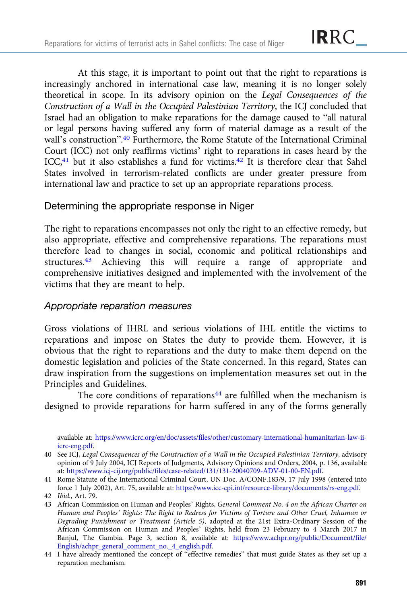At this stage, it is important to point out that the right to reparations is increasingly anchored in international case law, meaning it is no longer solely theoretical in scope. In its advisory opinion on the Legal Consequences of the Construction of a Wall in the Occupied Palestinian Territory, the ICJ concluded that Israel had an obligation to make reparations for the damage caused to "all natural or legal persons having suffered any form of material damage as a result of the wall's construction". <sup>40</sup> Furthermore, the Rome Statute of the International Criminal Court (ICC) not only reaffirms victims' right to reparations in cases heard by the ICC,<sup>41</sup> but it also establishes a fund for victims.<sup>42</sup> It is therefore clear that Sahel States involved in terrorism-related conflicts are under greater pressure from international law and practice to set up an appropriate reparations process.

#### Determining the appropriate response in Niger

The right to reparations encompasses not only the right to an effective remedy, but also appropriate, effective and comprehensive reparations. The reparations must therefore lead to changes in social, economic and political relationships and structures.43 Achieving this will require a range of appropriate and comprehensive initiatives designed and implemented with the involvement of the victims that they are meant to help.

#### Appropriate reparation measures

Gross violations of IHRL and serious violations of IHL entitle the victims to reparations and impose on States the duty to provide them. However, it is obvious that the right to reparations and the duty to make them depend on the domestic legislation and policies of the State concerned. In this regard, States can draw inspiration from the suggestions on implementation measures set out in the Principles and Guidelines.

The core conditions of reparations<sup>44</sup> are fulfilled when the mechanism is designed to provide reparations for harm suffered in any of the forms generally

available at: [https://www.icrc.org/en/doc/assets/files/other/customary-international-humanitarian-law-ii](https://www.icrc.org/en/doc/assets/files/other/customary-international-humanitarian-law-ii-icrc-eng.pdf)[icrc-eng.pdf](https://www.icrc.org/en/doc/assets/files/other/customary-international-humanitarian-law-ii-icrc-eng.pdf).

<sup>40</sup> See ICJ, Legal Consequences of the Construction of a Wall in the Occupied Palestinian Territory, advisory opinion of 9 July 2004, ICJ Reports of Judgments, Advisory Opinions and Orders, 2004, p. 136, available at: <https://www.icj-cij.org/public/files/case-related/131/131-20040709-ADV-01-00-EN.pdf>.

<sup>41</sup> Rome Statute of the International Criminal Court, UN Doc. A/CONF.183/9, 17 July 1998 (entered into force 1 July 2002), Art. 75, available at: [https://www.icc-cpi.int/resource-library/documents/rs-eng.pdf.](https://www.icc-cpi.int/resource-library/documents/rs-eng.pdf)

<sup>42</sup> Ibid., Art. 79.

<sup>43</sup> African Commission on Human and Peoples' Rights, General Comment No. 4 on the African Charter on Human and Peoples' Rights: The Right to Redress for Victims of Torture and Other Cruel, Inhuman or Degrading Punishment or Treatment (Article 5), adopted at the 21st Extra-Ordinary Session of the African Commission on Human and Peoples' Rights, held from 23 February to 4 March 2017 in Banjul, The Gambia. Page 3, section 8, available at: [https://www.achpr.org/public/Document/file/](https://www.achpr.org/public/Document/file/English/achpr_general_comment_no._4_english.pdf) [English/achpr\\_general\\_comment\\_no.\\_4\\_english.pdf](https://www.achpr.org/public/Document/file/English/achpr_general_comment_no._4_english.pdf).

<sup>44</sup> I have already mentioned the concept of "effective remedies" that must guide States as they set up a reparation mechanism.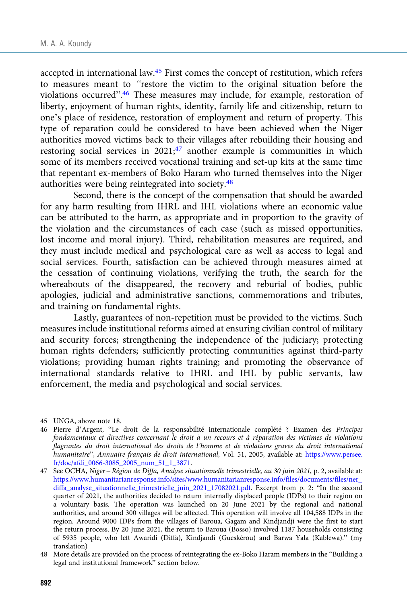accepted in international law.45 First comes the concept of restitution, which refers to measures meant to "restore the victim to the original situation before the violations occurred". <sup>46</sup> These measures may include, for example, restoration of liberty, enjoyment of human rights, identity, family life and citizenship, return to one's place of residence, restoration of employment and return of property. This type of reparation could be considered to have been achieved when the Niger authorities moved victims back to their villages after rebuilding their housing and restoring social services in  $2021$ ;<sup>47</sup> another example is communities in which some of its members received vocational training and set-up kits at the same time that repentant ex-members of Boko Haram who turned themselves into the Niger authorities were being reintegrated into society.48

Second, there is the concept of the compensation that should be awarded for any harm resulting from IHRL and IHL violations where an economic value can be attributed to the harm, as appropriate and in proportion to the gravity of the violation and the circumstances of each case (such as missed opportunities, lost income and moral injury). Third, rehabilitation measures are required, and they must include medical and psychological care as well as access to legal and social services. Fourth, satisfaction can be achieved through measures aimed at the cessation of continuing violations, verifying the truth, the search for the whereabouts of the disappeared, the recovery and reburial of bodies, public apologies, judicial and administrative sanctions, commemorations and tributes, and training on fundamental rights.

Lastly, guarantees of non-repetition must be provided to the victims. Such measures include institutional reforms aimed at ensuring civilian control of military and security forces; strengthening the independence of the judiciary; protecting human rights defenders; sufficiently protecting communities against third-party violations; providing human rights training; and promoting the observance of international standards relative to IHRL and IHL by public servants, law enforcement, the media and psychological and social services.

<sup>45</sup> UNGA, above note 18.

<sup>46</sup> Pierre d'Argent, "Le droit de la responsabilité internationale complété ? Examen des Principes fondamentaux et directives concernant le droit à un recours et à réparation des victimes de violations flagrantes du droit international des droits de l'homme et de violations graves du droit international humanitaire", Annuaire français de droit international, Vol. 51, 2005, available at: [https://www.persee.](https://www.persee.fr/doc/afdi_0066-3085_2005_num_51_1_3871) [fr/doc/afdi\\_0066-3085\\_2005\\_num\\_51\\_1\\_3871.](https://www.persee.fr/doc/afdi_0066-3085_2005_num_51_1_3871)

<sup>47</sup> See OCHA, Niger – Région de Diffa, Analyse situationnelle trimestrielle, au 30 juin 2021, p. 2, available at: [https://www.humanitarianresponse.info/sites/www.humanitarianresponse.info/files/documents/files/ner\\_](https://www.humanitarianresponse.info/sites/www.humanitarianresponse.info/files/documents/files/ner_diffa_analyse_situationnelle_trimestrielle_juin_2021_17082021.pdf) [diffa\\_analyse\\_situationnelle\\_trimestrielle\\_juin\\_2021\\_17082021.pdf.](https://www.humanitarianresponse.info/sites/www.humanitarianresponse.info/files/documents/files/ner_diffa_analyse_situationnelle_trimestrielle_juin_2021_17082021.pdf) Excerpt from p. 2: "In the second quarter of 2021, the authorities decided to return internally displaced people (IDPs) to their region on a voluntary basis. The operation was launched on 20 June 2021 by the regional and national authorities, and around 300 villages will be affected. This operation will involve all 104,588 IDPs in the region. Around 9000 IDPs from the villages of Baroua, Gagam and Kindjandji were the first to start the return process. By 20 June 2021, the return to Baroua (Bosso) involved 1187 households consisting of 5935 people, who left Awaridi (Diffa), Kindjandi (Gueskérou) and Barwa Yala (Kablewa)." (my translation)

<sup>48</sup> More details are provided on the process of reintegrating the ex-Boko Haram members in the "Building a legal and institutional framework" section below.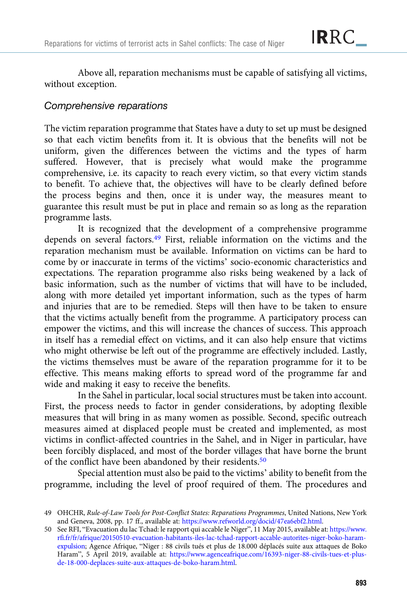Above all, reparation mechanisms must be capable of satisfying all victims, without exception.

# Comprehensive reparations

The victim reparation programme that States have a duty to set up must be designed so that each victim benefits from it. It is obvious that the benefits will not be uniform, given the differences between the victims and the types of harm suffered. However, that is precisely what would make the programme comprehensive, i.e. its capacity to reach every victim, so that every victim stands to benefit. To achieve that, the objectives will have to be clearly defined before the process begins and then, once it is under way, the measures meant to guarantee this result must be put in place and remain so as long as the reparation programme lasts.

It is recognized that the development of a comprehensive programme depends on several factors.49 First, reliable information on the victims and the reparation mechanism must be available. Information on victims can be hard to come by or inaccurate in terms of the victims' socio-economic characteristics and expectations. The reparation programme also risks being weakened by a lack of basic information, such as the number of victims that will have to be included, along with more detailed yet important information, such as the types of harm and injuries that are to be remedied. Steps will then have to be taken to ensure that the victims actually benefit from the programme. A participatory process can empower the victims, and this will increase the chances of success. This approach in itself has a remedial effect on victims, and it can also help ensure that victims who might otherwise be left out of the programme are effectively included. Lastly, the victims themselves must be aware of the reparation programme for it to be effective. This means making efforts to spread word of the programme far and wide and making it easy to receive the benefits.

In the Sahel in particular, local social structures must be taken into account. First, the process needs to factor in gender considerations, by adopting flexible measures that will bring in as many women as possible. Second, specific outreach measures aimed at displaced people must be created and implemented, as most victims in conflict-affected countries in the Sahel, and in Niger in particular, have been forcibly displaced, and most of the border villages that have borne the brunt of the conflict have been abandoned by their residents.50

Special attention must also be paid to the victims' ability to benefit from the programme, including the level of proof required of them. The procedures and

<sup>49</sup> OHCHR, Rule-of-Law Tools for Post-Conflict States: Reparations Programmes, United Nations, New York and Geneva, 2008, pp. 17 ff., available at: <https://www.refworld.org/docid/47ea6ebf2.html>.

<sup>50</sup> See RFI, "Evacuation du lac Tchad: le rapport qui accable le Niger", 11 May 2015, available at: [https://www.](https://www.rfi.fr/fr/afrique/20150510-evacuation-habitants-iles-lac-tchad-rapport-accable-autorites-niger-boko-haram-expulsion) [rfi.fr/fr/afrique/20150510-evacuation-habitants-iles-lac-tchad-rapport-accable-autorites-niger-boko-haram](https://www.rfi.fr/fr/afrique/20150510-evacuation-habitants-iles-lac-tchad-rapport-accable-autorites-niger-boko-haram-expulsion)[expulsion;](https://www.rfi.fr/fr/afrique/20150510-evacuation-habitants-iles-lac-tchad-rapport-accable-autorites-niger-boko-haram-expulsion) Agence Afrique, "Niger : 88 civils tués et plus de 18.000 déplacés suite aux attaques de Boko Haram", 5 April 2019, available at: [https://www.agenceafrique.com/16393-niger-88-civils-tues-et-plus](https://www.agenceafrique.com/16393-niger-88-civils-tues-et-plus-de-18-000-deplaces-suite-aux-attaques-de-boko-haram.html)[de-18-000-deplaces-suite-aux-attaques-de-boko-haram.html.](https://www.agenceafrique.com/16393-niger-88-civils-tues-et-plus-de-18-000-deplaces-suite-aux-attaques-de-boko-haram.html)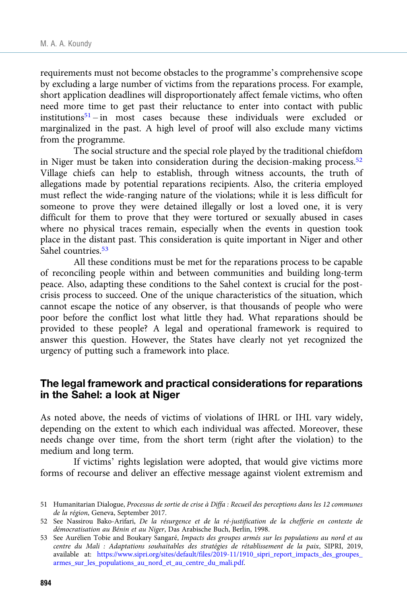requirements must not become obstacles to the programme's comprehensive scope by excluding a large number of victims from the reparations process. For example, short application deadlines will disproportionately affect female victims, who often need more time to get past their reluctance to enter into contact with public institutions<sup>51</sup> – in most cases because these individuals were excluded or marginalized in the past. A high level of proof will also exclude many victims from the programme.

The social structure and the special role played by the traditional chiefdom in Niger must be taken into consideration during the decision-making process. $52$ Village chiefs can help to establish, through witness accounts, the truth of allegations made by potential reparations recipients. Also, the criteria employed must reflect the wide-ranging nature of the violations; while it is less difficult for someone to prove they were detained illegally or lost a loved one, it is very difficult for them to prove that they were tortured or sexually abused in cases where no physical traces remain, especially when the events in question took place in the distant past. This consideration is quite important in Niger and other Sahel countries.<sup>53</sup>

All these conditions must be met for the reparations process to be capable of reconciling people within and between communities and building long-term peace. Also, adapting these conditions to the Sahel context is crucial for the postcrisis process to succeed. One of the unique characteristics of the situation, which cannot escape the notice of any observer, is that thousands of people who were poor before the conflict lost what little they had. What reparations should be provided to these people? A legal and operational framework is required to answer this question. However, the States have clearly not yet recognized the urgency of putting such a framework into place.

#### The legal framework and practical considerations for reparations in the Sahel: a look at Niger

As noted above, the needs of victims of violations of IHRL or IHL vary widely, depending on the extent to which each individual was affected. Moreover, these needs change over time, from the short term (right after the violation) to the medium and long term.

If victims' rights legislation were adopted, that would give victims more forms of recourse and deliver an effective message against violent extremism and

<sup>51</sup> Humanitarian Dialogue, Processus de sortie de crise à Diffa : Recueil des perceptions dans les 12 communes de la région, Geneva, September 2017.

<sup>52</sup> See Nassirou Bako-Arifari, De la résurgence et de la ré-justification de la chefferie en contexte de démocratisation au Bénin et au Niger, Das Arabische Buch, Berlin, 1998.

<sup>53</sup> See Aurélien Tobie and Boukary Sangaré, Impacts des groupes armés sur les populations au nord et au centre du Mali : Adaptations souhaitables des stratégies de rétablissement de la paix, SIPRI, 2019, available at: [https://www.sipri.org/sites/default/files/2019-11/1910\\_sipri\\_report\\_impacts\\_des\\_groupes\\_](https://www.sipri.org/sites/default/files/2019-11/1910_sipri_report_impacts_des_groupes_armes_sur_les_populations_au_nord_et_au_centre_du_mali.pdf) [armes\\_sur\\_les\\_populations\\_au\\_nord\\_et\\_au\\_centre\\_du\\_mali.pdf.](https://www.sipri.org/sites/default/files/2019-11/1910_sipri_report_impacts_des_groupes_armes_sur_les_populations_au_nord_et_au_centre_du_mali.pdf)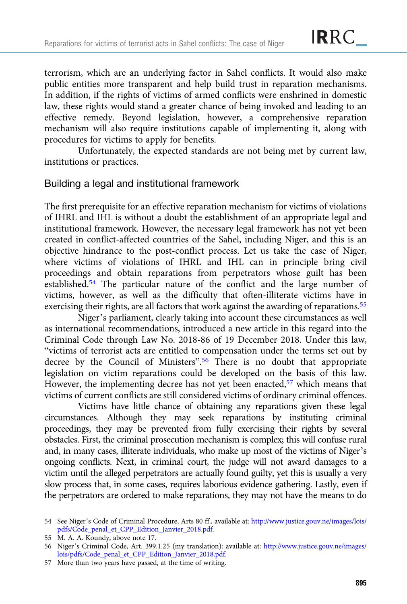terrorism, which are an underlying factor in Sahel conflicts. It would also make public entities more transparent and help build trust in reparation mechanisms. In addition, if the rights of victims of armed conflicts were enshrined in domestic law, these rights would stand a greater chance of being invoked and leading to an effective remedy. Beyond legislation, however, a comprehensive reparation mechanism will also require institutions capable of implementing it, along with procedures for victims to apply for benefits.

Unfortunately, the expected standards are not being met by current law, institutions or practices.

#### Building a legal and institutional framework

The first prerequisite for an effective reparation mechanism for victims of violations of IHRL and IHL is without a doubt the establishment of an appropriate legal and institutional framework. However, the necessary legal framework has not yet been created in conflict-affected countries of the Sahel, including Niger, and this is an objective hindrance to the post-conflict process. Let us take the case of Niger, where victims of violations of IHRL and IHL can in principle bring civil proceedings and obtain reparations from perpetrators whose guilt has been established.54 The particular nature of the conflict and the large number of victims, however, as well as the difficulty that often-illiterate victims have in exercising their rights, are all factors that work against the awarding of reparations.<sup>55</sup>

Niger's parliament, clearly taking into account these circumstances as well as international recommendations, introduced a new article in this regard into the Criminal Code through Law No. 2018-86 of 19 December 2018. Under this law, "victims of terrorist acts are entitled to compensation under the terms set out by decree by the Council of Ministers". <sup>56</sup> There is no doubt that appropriate legislation on victim reparations could be developed on the basis of this law. However, the implementing decree has not yet been enacted,<sup>57</sup> which means that victims of current conflicts are still considered victims of ordinary criminal offences.

Victims have little chance of obtaining any reparations given these legal circumstances. Although they may seek reparations by instituting criminal proceedings, they may be prevented from fully exercising their rights by several obstacles. First, the criminal prosecution mechanism is complex; this will confuse rural and, in many cases, illiterate individuals, who make up most of the victims of Niger's ongoing conflicts. Next, in criminal court, the judge will not award damages to a victim until the alleged perpetrators are actually found guilty, yet this is usually a very slow process that, in some cases, requires laborious evidence gathering. Lastly, even if the perpetrators are ordered to make reparations, they may not have the means to do

<sup>54</sup> See Niger's Code of Criminal Procedure, Arts 80 ff., available at: [http://www.justice.gouv.ne/images/lois/](http://www.justice.gouv.ne/images/lois/pdfs/Code_penal_et_CPP_Edition_Janvier_2018.pdf) [pdfs/Code\\_penal\\_et\\_CPP\\_Edition\\_Janvier\\_2018.pdf](http://www.justice.gouv.ne/images/lois/pdfs/Code_penal_et_CPP_Edition_Janvier_2018.pdf).

<sup>55</sup> M. A. A. Koundy, above note 17.

<sup>56</sup> Niger's Criminal Code, Art. 399.1.25 (my translation): available at: [http://www.justice.gouv.ne/images/](http://www.justice.gouv.ne/images/lois/pdfs/Code_penal_et_CPP_Edition_Janvier_2018.pdf) [lois/pdfs/Code\\_penal\\_et\\_CPP\\_Edition\\_Janvier\\_2018.pdf.](http://www.justice.gouv.ne/images/lois/pdfs/Code_penal_et_CPP_Edition_Janvier_2018.pdf)

<sup>57</sup> More than two years have passed, at the time of writing.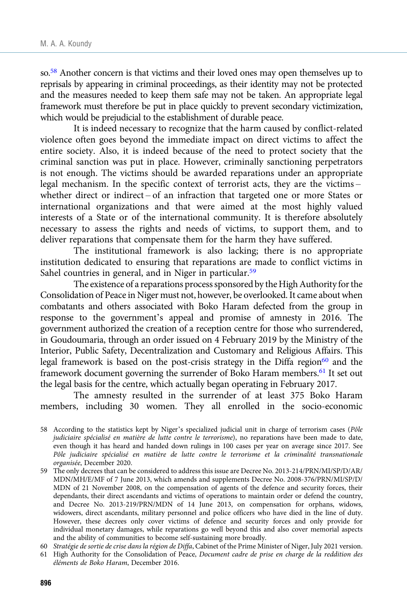so.58 Another concern is that victims and their loved ones may open themselves up to reprisals by appearing in criminal proceedings, as their identity may not be protected and the measures needed to keep them safe may not be taken. An appropriate legal framework must therefore be put in place quickly to prevent secondary victimization, which would be prejudicial to the establishment of durable peace.

It is indeed necessary to recognize that the harm caused by conflict-related violence often goes beyond the immediate impact on direct victims to affect the entire society. Also, it is indeed because of the need to protect society that the criminal sanction was put in place. However, criminally sanctioning perpetrators is not enough. The victims should be awarded reparations under an appropriate legal mechanism. In the specific context of terrorist acts, they are the victims – whether direct or indirect – of an infraction that targeted one or more States or international organizations and that were aimed at the most highly valued interests of a State or of the international community. It is therefore absolutely necessary to assess the rights and needs of victims, to support them, and to deliver reparations that compensate them for the harm they have suffered.

The institutional framework is also lacking; there is no appropriate institution dedicated to ensuring that reparations are made to conflict victims in Sahel countries in general, and in Niger in particular.<sup>59</sup>

The existence of a reparations process sponsored by the High Authority for the Consolidation of Peace in Niger must not, however, be overlooked. It came about when combatants and others associated with Boko Haram defected from the group in response to the government's appeal and promise of amnesty in 2016. The government authorized the creation of a reception centre for those who surrendered, in Goudoumaria, through an order issued on 4 February 2019 by the Ministry of the Interior, Public Safety, Decentralization and Customary and Religious Affairs. This legal framework is based on the post-crisis strategy in the Diffa region $60$  and the framework document governing the surrender of Boko Haram members.61 It set out the legal basis for the centre, which actually began operating in February 2017.

The amnesty resulted in the surrender of at least 375 Boko Haram members, including 30 women. They all enrolled in the socio-economic

60 Stratégie de sortie de crise dans la région de Diffa, Cabinet of the Prime Minister of Niger, July 2021 version.

<sup>58</sup> According to the statistics kept by Niger's specialized judicial unit in charge of terrorism cases (Pôle judiciaire spécialisé en matière de lutte contre le terrorisme), no reparations have been made to date, even though it has heard and handed down rulings in 100 cases per year on average since 2017. See Pôle judiciaire spécialisé en matière de lutte contre le terrorisme et la criminalité transnationale organisée, December 2020.

<sup>59</sup> The only decrees that can be considered to address this issue are Decree No. 2013-214/PRN/MI/SP/D/AR/ MDN/MH/E/MF of 7 June 2013, which amends and supplements Decree No. 2008-376/PRN/MI/SP/D/ MDN of 21 November 2008, on the compensation of agents of the defence and security forces, their dependants, their direct ascendants and victims of operations to maintain order or defend the country, and Decree No. 2013-219/PRN/MDN of 14 June 2013, on compensation for orphans, widows, widowers, direct ascendants, military personnel and police officers who have died in the line of duty. However, these decrees only cover victims of defence and security forces and only provide for individual monetary damages, while reparations go well beyond this and also cover memorial aspects and the ability of communities to become self-sustaining more broadly.

<sup>61</sup> High Authority for the Consolidation of Peace, Document cadre de prise en charge de la reddition des éléments de Boko Haram, December 2016.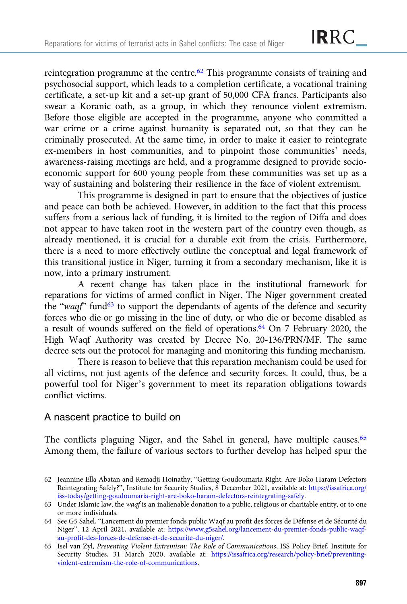reintegration programme at the centre.<sup>62</sup> This programme consists of training and psychosocial support, which leads to a completion certificate, a vocational training certificate, a set-up kit and a set-up grant of 50,000 CFA francs. Participants also swear a Koranic oath, as a group, in which they renounce violent extremism. Before those eligible are accepted in the programme, anyone who committed a war crime or a crime against humanity is separated out, so that they can be criminally prosecuted. At the same time, in order to make it easier to reintegrate ex-members in host communities, and to pinpoint those communities' needs, awareness-raising meetings are held, and a programme designed to provide socioeconomic support for 600 young people from these communities was set up as a way of sustaining and bolstering their resilience in the face of violent extremism.

This programme is designed in part to ensure that the objectives of justice and peace can both be achieved. However, in addition to the fact that this process suffers from a serious lack of funding, it is limited to the region of Diffa and does not appear to have taken root in the western part of the country even though, as already mentioned, it is crucial for a durable exit from the crisis. Furthermore, there is a need to more effectively outline the conceptual and legal framework of this transitional justice in Niger, turning it from a secondary mechanism, like it is now, into a primary instrument.

A recent change has taken place in the institutional framework for reparations for victims of armed conflict in Niger. The Niger government created the "waqf" fund<sup>63</sup> to support the dependants of agents of the defence and security forces who die or go missing in the line of duty, or who die or become disabled as a result of wounds suffered on the field of operations.64 On 7 February 2020, the High Waqf Authority was created by Decree No. 20-136/PRN/MF. The same decree sets out the protocol for managing and monitoring this funding mechanism.

There is reason to believe that this reparation mechanism could be used for all victims, not just agents of the defence and security forces. It could, thus, be a powerful tool for Niger's government to meet its reparation obligations towards conflict victims.

#### A nascent practice to build on

The conflicts plaguing Niger, and the Sahel in general, have multiple causes.<sup>65</sup> Among them, the failure of various sectors to further develop has helped spur the

<sup>62</sup> Jeannine Ella Abatan and Remadji Hoinathy, "Getting Goudoumaria Right: Are Boko Haram Defectors Reintegrating Safely?", Institute for Security Studies, 8 December 2021, available at: [https://issafrica.org/](https://issafrica.org/iss-today/getting-goudoumaria-right-are-boko-haram-defectors-reintegrating-safely) [iss-today/getting-goudoumaria-right-are-boko-haram-defectors-reintegrating-safely.](https://issafrica.org/iss-today/getting-goudoumaria-right-are-boko-haram-defectors-reintegrating-safely)

<sup>63</sup> Under Islamic law, the waqf is an inalienable donation to a public, religious or charitable entity, or to one or more individuals.

<sup>64</sup> See G5 Sahel, "Lancement du premier fonds public Waqf au profit des forces de Défense et de Sécurité du Niger", 12 April 2021, available at: [https://www.g5sahel.org/lancement-du-premier-fonds-public-waqf](https://www.g5sahel.org/lancement-du-premier-fonds-public-waqf-au-profit-des-forces-de-defense-et-de-securite-du-niger/)[au-profit-des-forces-de-defense-et-de-securite-du-niger/.](https://www.g5sahel.org/lancement-du-premier-fonds-public-waqf-au-profit-des-forces-de-defense-et-de-securite-du-niger/)

<sup>65</sup> Isel van Zyl, Preventing Violent Extremism: The Role of Communications, ISS Policy Brief, Institute for Security Studies, 31 March 2020, available at: [https://issafrica.org/research/policy-brief/preventing](https://issafrica.org/research/policy-brief/preventing-violent-extremism-the-role-of-communications)[violent-extremism-the-role-of-communications](https://issafrica.org/research/policy-brief/preventing-violent-extremism-the-role-of-communications).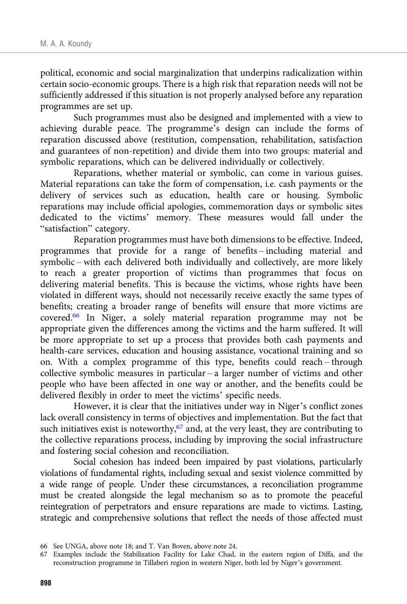political, economic and social marginalization that underpins radicalization within certain socio-economic groups. There is a high risk that reparation needs will not be sufficiently addressed if this situation is not properly analysed before any reparation programmes are set up.

Such programmes must also be designed and implemented with a view to achieving durable peace. The programme's design can include the forms of reparation discussed above (restitution, compensation, rehabilitation, satisfaction and guarantees of non-repetition) and divide them into two groups: material and symbolic reparations, which can be delivered individually or collectively.

Reparations, whether material or symbolic, can come in various guises. Material reparations can take the form of compensation, i.e. cash payments or the delivery of services such as education, health care or housing. Symbolic reparations may include official apologies, commemoration days or symbolic sites dedicated to the victims' memory. These measures would fall under the "satisfaction" category.

Reparation programmes must have both dimensions to be effective. Indeed, programmes that provide for a range of benefits – including material and symbolic – with each delivered both individually and collectively, are more likely to reach a greater proportion of victims than programmes that focus on delivering material benefits. This is because the victims, whose rights have been violated in different ways, should not necessarily receive exactly the same types of benefits; creating a broader range of benefits will ensure that more victims are covered.66 In Niger, a solely material reparation programme may not be appropriate given the differences among the victims and the harm suffered. It will be more appropriate to set up a process that provides both cash payments and health-care services, education and housing assistance, vocational training and so on. With a complex programme of this type, benefits could reach – through collective symbolic measures in particular – a larger number of victims and other people who have been affected in one way or another, and the benefits could be delivered flexibly in order to meet the victims' specific needs.

However, it is clear that the initiatives under way in Niger's conflict zones lack overall consistency in terms of objectives and implementation. But the fact that such initiatives exist is noteworthy, $67$  and, at the very least, they are contributing to the collective reparations process, including by improving the social infrastructure and fostering social cohesion and reconciliation.

Social cohesion has indeed been impaired by past violations, particularly violations of fundamental rights, including sexual and sexist violence committed by a wide range of people. Under these circumstances, a reconciliation programme must be created alongside the legal mechanism so as to promote the peaceful reintegration of perpetrators and ensure reparations are made to victims. Lasting, strategic and comprehensive solutions that reflect the needs of those affected must

<sup>66</sup> See UNGA, above note 18; and T. Van Boven, above note 24.

<sup>67</sup> Examples include the Stabilization Facility for Lake Chad, in the eastern region of Diffa, and the reconstruction programme in Tillaberi region in western Niger, both led by Niger's government.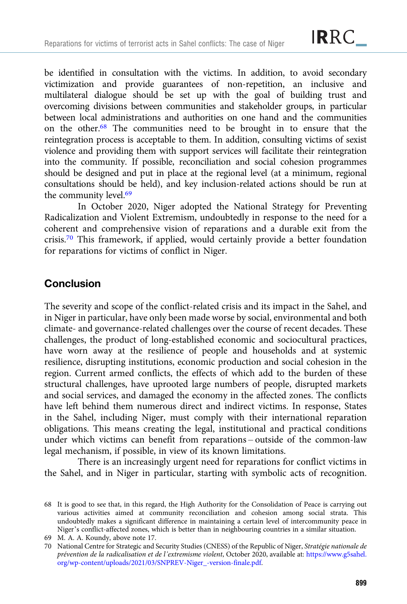be identified in consultation with the victims. In addition, to avoid secondary victimization and provide guarantees of non-repetition, an inclusive and multilateral dialogue should be set up with the goal of building trust and overcoming divisions between communities and stakeholder groups, in particular between local administrations and authorities on one hand and the communities on the other.68 The communities need to be brought in to ensure that the reintegration process is acceptable to them. In addition, consulting victims of sexist violence and providing them with support services will facilitate their reintegration into the community. If possible, reconciliation and social cohesion programmes should be designed and put in place at the regional level (at a minimum, regional consultations should be held), and key inclusion-related actions should be run at the community level.69

In October 2020, Niger adopted the National Strategy for Preventing Radicalization and Violent Extremism, undoubtedly in response to the need for a coherent and comprehensive vision of reparations and a durable exit from the crisis.<sup>70</sup> This framework, if applied, would certainly provide a better foundation for reparations for victims of conflict in Niger.

## **Conclusion**

The severity and scope of the conflict-related crisis and its impact in the Sahel, and in Niger in particular, have only been made worse by social, environmental and both climate- and governance-related challenges over the course of recent decades. These challenges, the product of long-established economic and sociocultural practices, have worn away at the resilience of people and households and at systemic resilience, disrupting institutions, economic production and social cohesion in the region. Current armed conflicts, the effects of which add to the burden of these structural challenges, have uprooted large numbers of people, disrupted markets and social services, and damaged the economy in the affected zones. The conflicts have left behind them numerous direct and indirect victims. In response, States in the Sahel, including Niger, must comply with their international reparation obligations. This means creating the legal, institutional and practical conditions under which victims can benefit from reparations – outside of the common-law legal mechanism, if possible, in view of its known limitations.

There is an increasingly urgent need for reparations for conflict victims in the Sahel, and in Niger in particular, starting with symbolic acts of recognition.

<sup>68</sup> It is good to see that, in this regard, the High Authority for the Consolidation of Peace is carrying out various activities aimed at community reconciliation and cohesion among social strata. This undoubtedly makes a significant difference in maintaining a certain level of intercommunity peace in Niger's conflict-affected zones, which is better than in neighbouring countries in a similar situation.

<sup>69</sup> M. A. A. Koundy, above note 17.

<sup>70</sup> National Centre for Strategic and Security Studies (CNESS) of the Republic of Niger, Stratégie nationale de prévention de la radicalisation et de l'extremisme violent, October 2020, available at: [https://www.g5sahel.](https://www.g5sahel.org/wp-content/uploads/2021/03/SNPREV-Niger_-version-finale.pdf) [org/wp-content/uploads/2021/03/SNPREV-Niger\\_-version-finale.pdf](https://www.g5sahel.org/wp-content/uploads/2021/03/SNPREV-Niger_-version-finale.pdf).